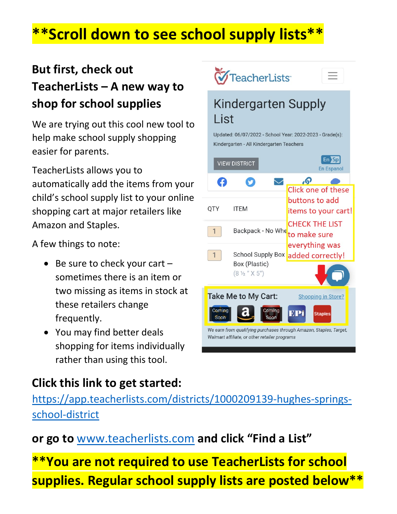# **\*\*Scroll down to see school supply lists\*\***

#### **But first, check out TeacherLists – A new way to shop for school supplies**

We are trying out this cool new tool to help make school supply shopping easier for parents.

TeacherLists allows you to automatically add the items from your child's school supply list to your online shopping cart at major retailers like Amazon and Staples.

A few things to note:

- Be sure to check your cart sometimes there is an item or two missing as items in stock at these retailers change frequently.
- You may find better deals shopping for items individually rather than using this tool.

#### **Click this link to get started:**

[https://app.teacherlists.com/districts/1000209139-hughes-springs](https://app.teacherlists.com/districts/1000209139-hughes-springs-school-district)[school-district](https://app.teacherlists.com/districts/1000209139-hughes-springs-school-district)

**or go to** [www.teacherlists.com](http://www.teacherlists.com/) **and click "Find a List"**

**\*\*You are not required to use TeacherLists for school supplies. Regular school supply lists are posted below\*\***

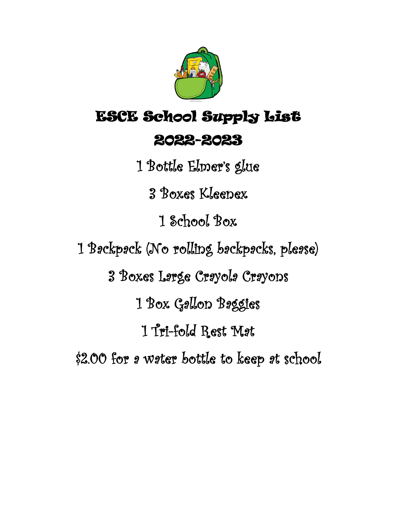

# ESCE School Supply List 2022-2023

1 Bottle Elmer's glue 3 Boxes Kleenex 1 School Box 1 Backpack (No rolling backpacks, please) 3 Boxes Large Crayola Crayons 1 Box Gallon Baggies 1 Tri-fold Rest Mat \$2.00 for a water bottle to keep at school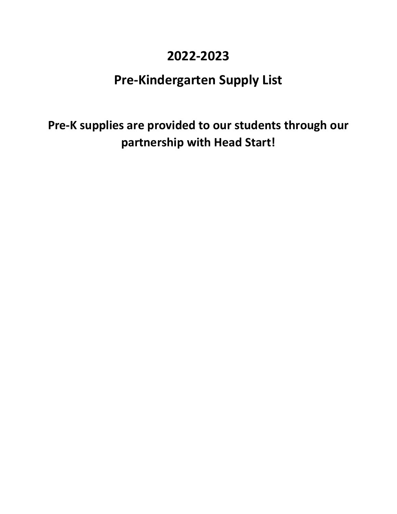#### **2022-2023**

#### **Pre-Kindergarten Supply List**

**Pre-K supplies are provided to our students through our partnership with Head Start!**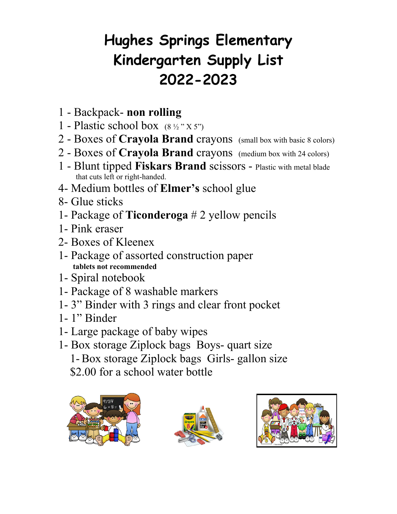# **Hughes Springs Elementary Kindergarten Supply List 2022-2023**

- 1 Backpack- **non rolling**
- 1 Plastic school box  $(8\frac{1}{2}$ "  $X 5$ ")
- 2 Boxes of **Crayola Brand** crayons (small box with basic 8 colors)
- 2 Boxes of **Crayola Brand** crayons (medium box with 24 colors)
- 1 Blunt tipped **Fiskars Brand** scissors Plastic with metal blade that cuts left or right-handed.
- 4- Medium bottles of **Elmer's** school glue
- 8- Glue sticks
- 1- Package of **Ticonderoga** # 2 yellow pencils
- 1- Pink eraser
- 2- Boxes of Kleenex
- 1- Package of assorted construction paper **tablets not recommended**
- 1- Spiral notebook
- 1- Package of 8 washable markers
- 1- 3" Binder with 3 rings and clear front pocket
- 1- 1" Binder
- 1- Large package of baby wipes
- 1- Box storage Ziplock bags Boys- quart size 1- Box storage Ziplock bags Girls- gallon size \$2.00 for a school water bottle





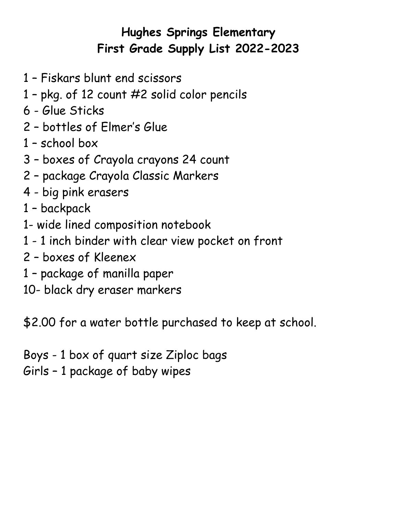#### **Hughes Springs Elementary First Grade Supply List 2022-2023**

- 1 Fiskars blunt end scissors
- 1 pkg. of 12 count #2 solid color pencils
- 6 Glue Sticks
- 2 bottles of Elmer's Glue
- 1 school box
- 3 boxes of Crayola crayons 24 count
- 2 package Crayola Classic Markers
- 4 big pink erasers
- 1 backpack
- 1- wide lined composition notebook
- 1 1 inch binder with clear view pocket on front
- 2 boxes of Kleenex
- 1 package of manilla paper
- 10- black dry eraser markers

\$2.00 for a water bottle purchased to keep at school.

- Boys 1 box of quart size Ziploc bags
- Girls 1 package of baby wipes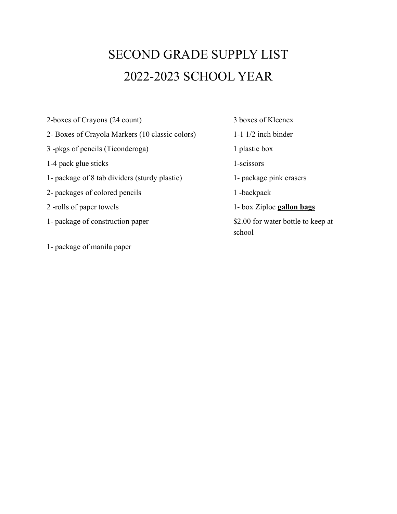### SECOND GRADE SUPPLY LIST 2022-2023 SCHOOL YEAR

2-boxes of Crayons (24 count) 3 boxes of Kleenex

- 2- Boxes of Crayola Markers (10 classic colors) 1-1 1/2 inch binder
- 3 -pkgs of pencils (Ticonderoga) 1 plastic box
- 1-4 pack glue sticks 1-scissors
- 1- package of 8 tab dividers (sturdy plastic) 1- package pink erasers
- 2- packages of colored pencils 1 -backpack
- 
- 1- package of construction paper \$2.00 for water bottle to keep at
- 1- package of manila paper

2 -rolls of paper towels 1- box Ziploc **gallon bags** school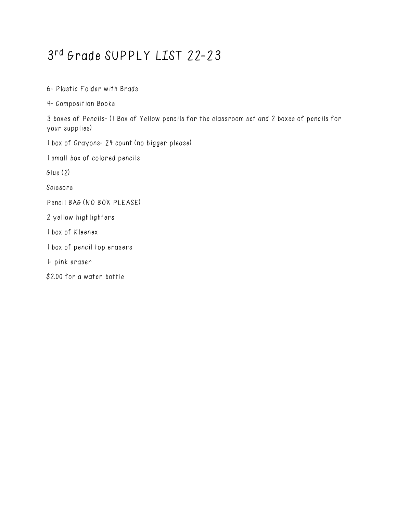### 3 rd Grade SUPPLY LIST 22-23

6- Plastic Folder with Brads

4- Composition Books

3 boxes of Pencils- (1 Box of Yellow pencils for the classroom set and 2 boxes of pencils for your supplies)

1 box of Crayons- 24 count (no bigger please)

1 small box of colored pencils

Glue (2)

Scissors

Pencil BAG (NO BOX PLEASE)

2 yellow highlighters

1 box of Kleenex

1 box of pencil top erasers

1- pink eraser

\$2.00 for a water bottle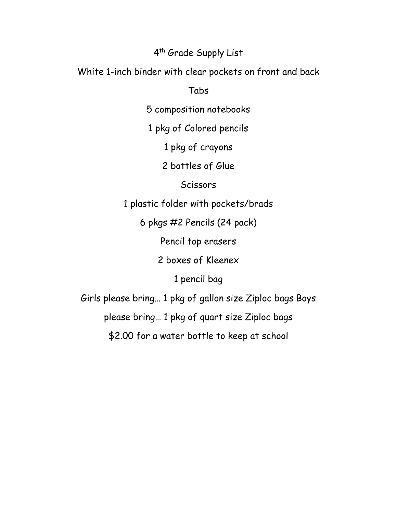#### 4 th Grade Supply List

White 1-inch binder with clear pockets on front and back

Tabs

5 composition notebooks

1 pkg of Colored pencils

1 pkg of crayons

2 bottles of Glue

**Scissors** 

1 plastic folder with pockets/brads

6 pkgs #2 Pencils (24 pack)

Pencil top erasers

2 boxes of Kleenex

1 pencil bag

Girls please bring… 1 pkg of gallon size Ziploc bags Boys

please bring… 1 pkg of quart size Ziploc bags

\$2.00 for a water bottle to keep at school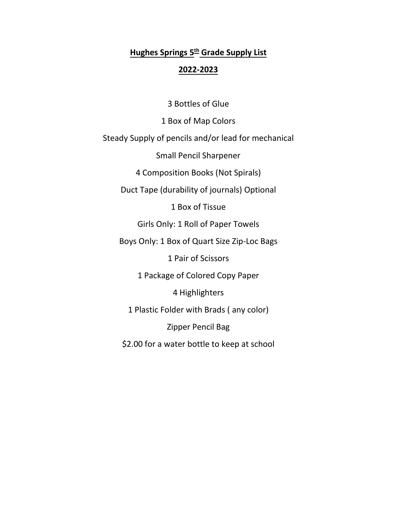#### **Hughes Springs 5th Grade Supply List 2022-2023**

3 Bottles of Glue 1 Box of Map Colors Steady Supply of pencils and/or lead for mechanical Small Pencil Sharpener 4 Composition Books (Not Spirals) Duct Tape (durability of journals) Optional 1 Box of Tissue Girls Only: 1 Roll of Paper Towels Boys Only: 1 Box of Quart Size Zip-Loc Bags 1 Pair of Scissors 1 Package of Colored Copy Paper 4 Highlighters 1 Plastic Folder with Brads ( any color) Zipper Pencil Bag \$2.00 for a water bottle to keep at school